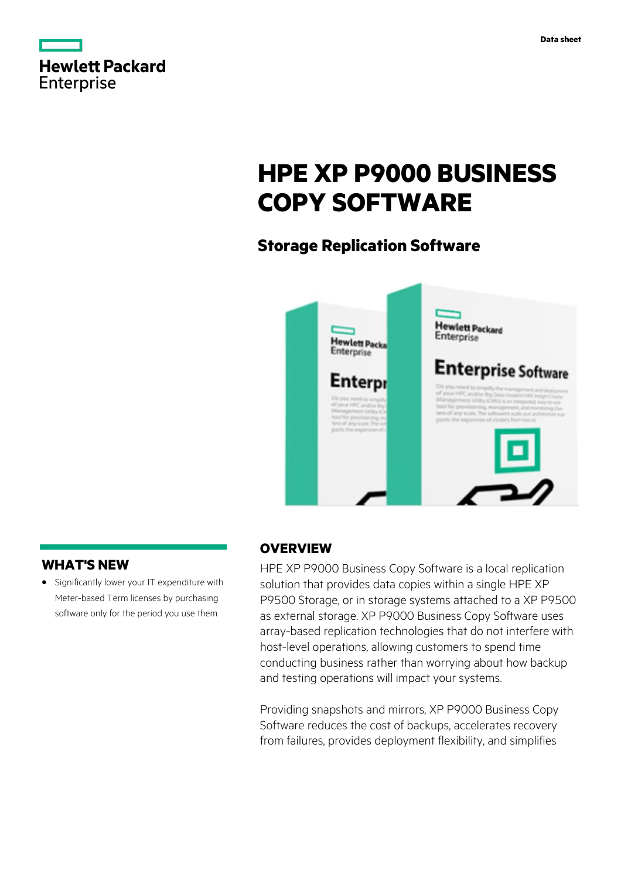|                   | <b>Hewlett Packard</b> |
|-------------------|------------------------|
| <b>Enterprise</b> |                        |

# **HPE XP P9000 BUSINESS COPY SOFTWARE**

# **Storage Replication Software**



# **WHAT'S NEW**

**·** Significantly lower your IT expenditure with Meter-based Term licenses by purchasing software only for the period you use them

# **OVERVIEW**

HPE XP P9000 Business Copy Software is a local replication solution that provides data copies within a single HPE XP P9500 Storage, or in storage systems attached to a XP P9500 as external storage. XP P9000 Business Copy Software uses array-based replication technologies that do not interfere with host-level operations, allowing customers to spend time conducting business rather than worrying about how backup and testing operations will impact your systems.

Providing snapshots and mirrors, XP P9000 Business Copy Software reduces the cost of backups, accelerates recovery from failures, provides deployment flexibility, and simplifies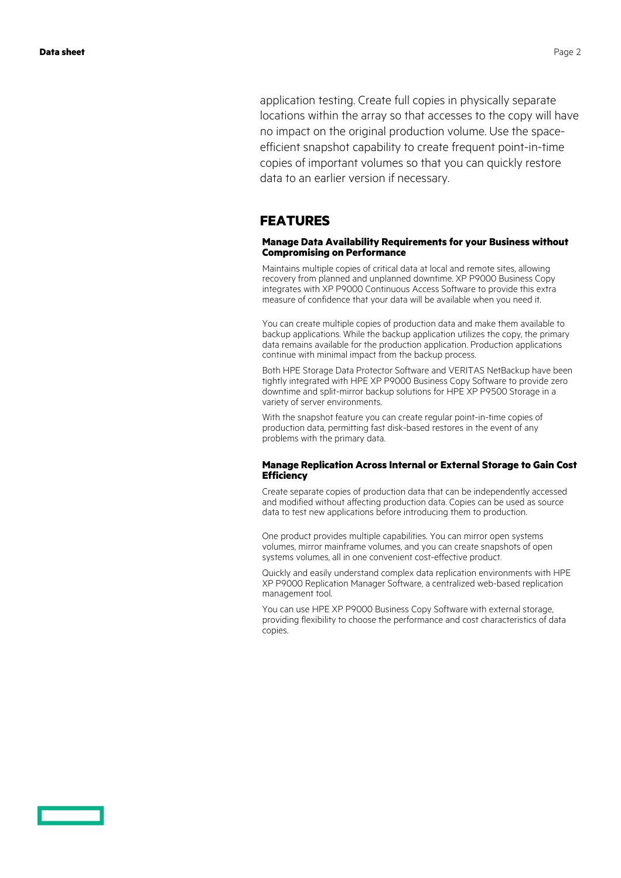application testing. Create full copies in physically separate locations within the array so that accesses to the copy will have no impact on the original production volume. Use the spaceefficient snapshot capability to create frequent point-in-time copies of important volumes so that you can quickly restore data to an earlier version if necessary.

### **FEATURES**

### **Manage Data Availability Requirements for your Business without Compromising on Performance**

Maintains multiple copies of critical data at local and remote sites, allowing recovery from planned and unplanned downtime. XP P9000 Business Copy integrates with XP P9000 Continuous Access Software to provide this extra measure of confidence that your data will be available when you need it.

You can create multiple copies of production data and make them available to backup applications. While the backup application utilizes the copy, the primary data remains available for the production application. Production applications continue with minimal impact from the backup process.

Both HPE Storage Data Protector Software and VERITAS NetBackup have been tightly integrated with HPE XP P9000 Business Copy Software to provide zero downtime and split-mirror backup solutions for HPE XP P9500 Storage in a variety of server environments.

With the snapshot feature you can create regular point-in-time copies of production data, permitting fast disk-based restores in the event of any problems with the primary data.

### **Manage Replication Across Internal or External Storage to Gain Cost Efficiency**

Create separate copies of production data that can be independently accessed and modified without affecting production data. Copies can be used as source data to test new applications before introducing them to production.

One product provides multiple capabilities. You can mirror open systems volumes, mirror mainframe volumes, and you can create snapshots of open systems volumes, all in one convenient cost-effective product.

Quickly and easily understand complex data replication environments with HPE XP P9000 Replication Manager Software, a centralized web-based replication management tool.

You can use HPE XP P9000 Business Copy Software with external storage, providing flexibility to choose the performance and cost characteristics of data copies.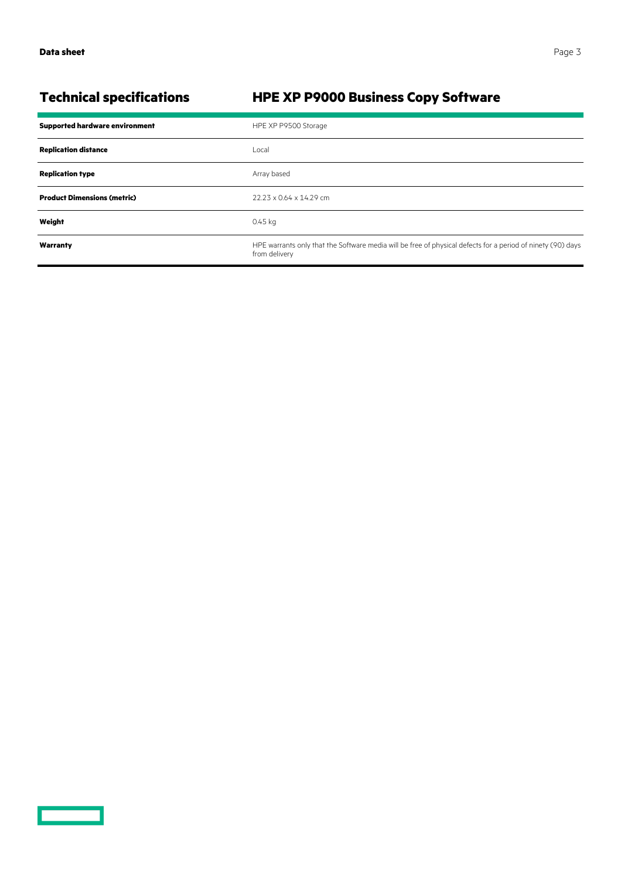<u>a sa saidh an san Saorann an S</u>

# **Technical specifications HPE XP P9000 Business Copy Software**

| <b>Supported hardware environment</b> | HPE XP P9500 Storage                                                                                                         |
|---------------------------------------|------------------------------------------------------------------------------------------------------------------------------|
| <b>Replication distance</b>           | Local                                                                                                                        |
| <b>Replication type</b>               | Array based                                                                                                                  |
| <b>Product Dimensions (metric)</b>    | 22.23 x 0.64 x 14.29 cm                                                                                                      |
| Weight                                | 0.45 kg                                                                                                                      |
| Warranty                              | HPE warrants only that the Software media will be free of physical defects for a period of ninety (90) days<br>from delivery |